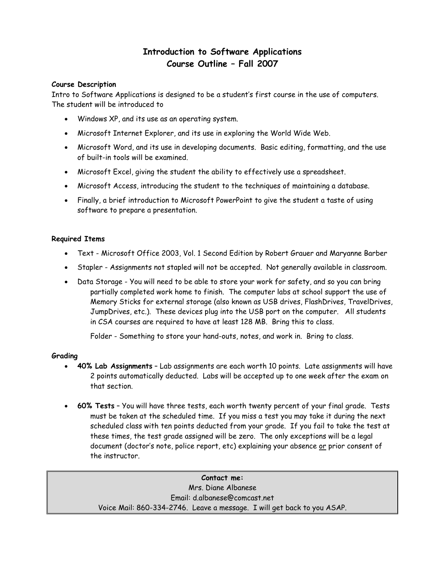## **Introduction to Software Applications Course Outline – Fall 2007**

#### **Course Description**

Intro to Software Applications is designed to be a student's first course in the use of computers. The student will be introduced to

- Windows XP, and its use as an operating system.
- Microsoft Internet Explorer, and its use in exploring the World Wide Web.
- Microsoft Word, and its use in developing documents. Basic editing, formatting, and the use of built-in tools will be examined.
- Microsoft Excel, giving the student the ability to effectively use a spreadsheet.
- Microsoft Access, introducing the student to the techniques of maintaining a database.
- Finally, a brief introduction to Microsoft PowerPoint to give the student a taste of using software to prepare a presentation.

#### **Required Items**

- Text Microsoft Office 2003, Vol. 1 Second Edition by Robert Grauer and Maryanne Barber
- Stapler Assignments not stapled will not be accepted. Not generally available in classroom.
- Data Storage You will need to be able to store your work for safety, and so you can bring partially completed work home to finish. The computer labs at school support the use of Memory Sticks for external storage (also known as USB drives, FlashDrives, TravelDrives, JumpDrives, etc.). These devices plug into the USB port on the computer. All students in CSA courses are required to have at least 128 MB. Bring this to class.

Folder - Something to store your hand-outs, notes, and work in. Bring to class.

#### **Grading**

- **40% Lab Assignments** Lab assignments are each worth 10 points. Late assignments will have 2 points automatically deducted. Labs will be accepted up to one week after the exam on that section.
- **60% Tests** You will have three tests, each worth twenty percent of your final grade. Tests must be taken at the scheduled time. If you miss a test you may take it during the next scheduled class with ten points deducted from your grade. If you fail to take the test at these times, the test grade assigned will be zero. The only exceptions will be a legal document (doctor's note, police report, etc) explaining your absence or prior consent of the instructor.

**Contact me:**  Mrs. Diane Albanese Email: [d.albanese@comcast.net](mailto:albanese_diane@hotmail.com) Voice Mail: 860-334-2746. Leave a message. I will get back to you ASAP.